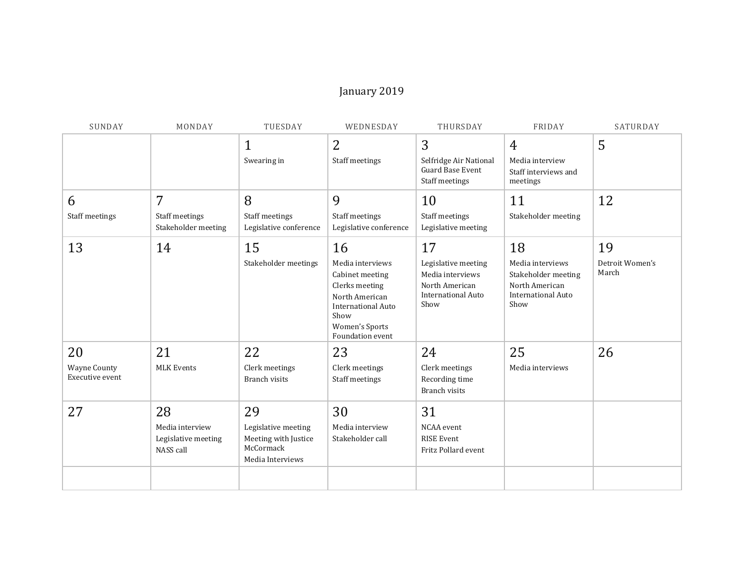## January 2019

| SUNDAY                                       | MONDAY                                                    | TUESDAY                                                                            | WEDNESDAY                                                                                                                                                | THURSDAY                                                                                             | FRIDAY                                                                                               | SATURDAY                       |
|----------------------------------------------|-----------------------------------------------------------|------------------------------------------------------------------------------------|----------------------------------------------------------------------------------------------------------------------------------------------------------|------------------------------------------------------------------------------------------------------|------------------------------------------------------------------------------------------------------|--------------------------------|
|                                              |                                                           | $\mathbf{1}$<br>Swearing in                                                        | $\overline{2}$<br>Staff meetings                                                                                                                         | 3<br>Selfridge Air National<br><b>Guard Base Event</b><br>Staff meetings                             | 4<br>Media interview<br>Staff interviews and<br>meetings                                             | 5                              |
| 6                                            | 7                                                         | 8                                                                                  | 9                                                                                                                                                        | 10                                                                                                   | 11                                                                                                   | 12                             |
| Staff meetings                               | Staff meetings<br>Stakeholder meeting                     | Staff meetings<br>Legislative conference                                           | Staff meetings<br>Legislative conference                                                                                                                 | Staff meetings<br>Legislative meeting                                                                | Stakeholder meeting                                                                                  |                                |
| 13                                           | 14                                                        | 15<br>Stakeholder meetings                                                         | 16<br>Media interviews<br>Cabinet meeting<br>Clerks meeting<br>North American<br><b>International Auto</b><br>Show<br>Women's Sports<br>Foundation event | 17<br>Legislative meeting<br>Media interviews<br>North American<br><b>International Auto</b><br>Show | 18<br>Media interviews<br>Stakeholder meeting<br>North American<br><b>International Auto</b><br>Show | 19<br>Detroit Women's<br>March |
| 20<br><b>Wayne County</b><br>Executive event | 21<br><b>MLK Events</b>                                   | 22<br>Clerk meetings<br><b>Branch visits</b>                                       | 23<br>Clerk meetings<br>Staff meetings                                                                                                                   | 24<br>Clerk meetings<br>Recording time<br>Branch visits                                              | 25<br>Media interviews                                                                               | 26                             |
| 27                                           | 28<br>Media interview<br>Legislative meeting<br>NASS call | 29<br>Legislative meeting<br>Meeting with Justice<br>McCormack<br>Media Interviews | 30<br>Media interview<br>Stakeholder call                                                                                                                | 31<br>NCAA event<br><b>RISE Event</b><br>Fritz Pollard event                                         |                                                                                                      |                                |
|                                              |                                                           |                                                                                    |                                                                                                                                                          |                                                                                                      |                                                                                                      |                                |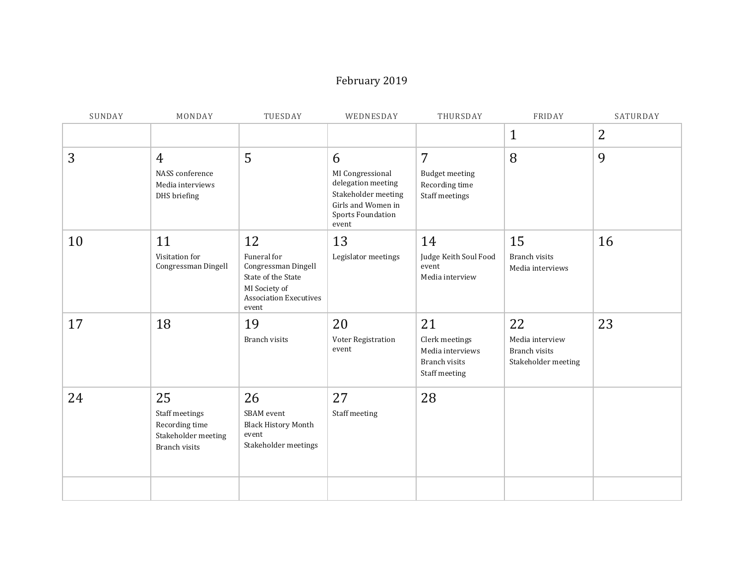## February 2019

| SUNDAY | MONDAY                                                                         | TUESDAY                                                                                                                   | WEDNESDAY                                                                                                              | THURSDAY                                                                   | FRIDAY                                                               | SATURDAY |
|--------|--------------------------------------------------------------------------------|---------------------------------------------------------------------------------------------------------------------------|------------------------------------------------------------------------------------------------------------------------|----------------------------------------------------------------------------|----------------------------------------------------------------------|----------|
|        |                                                                                |                                                                                                                           |                                                                                                                        |                                                                            | $\mathbf{1}$                                                         | 2        |
| 3      | $\overline{4}$<br>NASS conference<br>Media interviews<br>DHS briefing          | 5                                                                                                                         | 6<br>MI Congressional<br>delegation meeting<br>Stakeholder meeting<br>Girls and Women in<br>Sports Foundation<br>event | 7<br><b>Budget meeting</b><br>Recording time<br>Staff meetings             | 8                                                                    | 9        |
| 10     | 11<br>Visitation for<br>Congressman Dingell                                    | 12<br>Funeral for<br>Congressman Dingell<br>State of the State<br>MI Society of<br><b>Association Executives</b><br>event | 13<br>Legislator meetings                                                                                              | 14<br>Judge Keith Soul Food<br>event<br>Media interview                    | 15<br><b>Branch visits</b><br>Media interviews                       | 16       |
| 17     | 18                                                                             | 19<br><b>Branch visits</b>                                                                                                | 20<br>Voter Registration<br>event                                                                                      | 21<br>Clerk meetings<br>Media interviews<br>Branch visits<br>Staff meeting | 22<br>Media interview<br><b>Branch visits</b><br>Stakeholder meeting | 23       |
| 24     | 25<br>Staff meetings<br>Recording time<br>Stakeholder meeting<br>Branch visits | 26<br>SBAM event<br><b>Black History Month</b><br>event<br>Stakeholder meetings                                           | 27<br>Staff meeting                                                                                                    | 28                                                                         |                                                                      |          |
|        |                                                                                |                                                                                                                           |                                                                                                                        |                                                                            |                                                                      |          |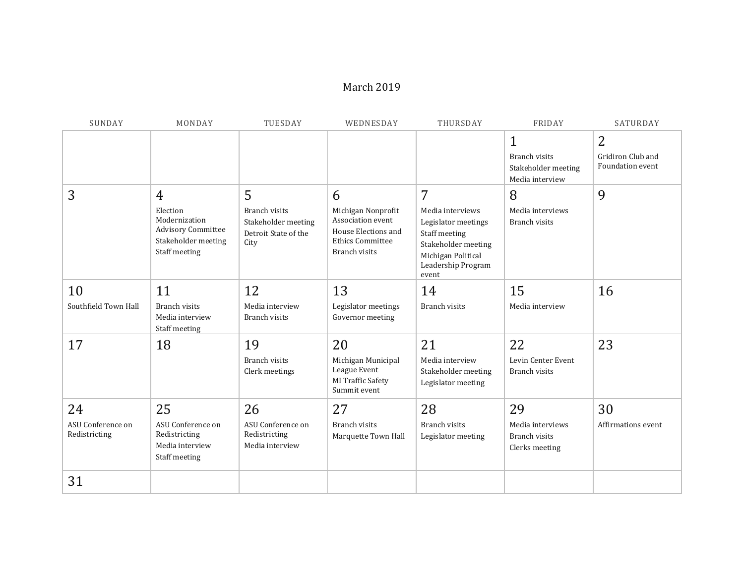#### March 2019

| SUNDAY                                   | MONDAY                                                                                                           | TUESDAY                                                                          | WEDNESDAY                                                                                                       | THURSDAY                                                                                                                                  | FRIDAY                                                                        | SATURDAY                                   |
|------------------------------------------|------------------------------------------------------------------------------------------------------------------|----------------------------------------------------------------------------------|-----------------------------------------------------------------------------------------------------------------|-------------------------------------------------------------------------------------------------------------------------------------------|-------------------------------------------------------------------------------|--------------------------------------------|
|                                          |                                                                                                                  |                                                                                  |                                                                                                                 |                                                                                                                                           | $\mathbf 1$<br><b>Branch visits</b><br>Stakeholder meeting<br>Media interview | 2<br>Gridiron Club and<br>Foundation event |
| 3                                        | $\overline{4}$<br>Election<br>Modernization<br><b>Advisory Committee</b><br>Stakeholder meeting<br>Staff meeting | 5<br><b>Branch visits</b><br>Stakeholder meeting<br>Detroit State of the<br>City | 6<br>Michigan Nonprofit<br>Association event<br>House Elections and<br><b>Ethics Committee</b><br>Branch visits | 7<br>Media interviews<br>Legislator meetings<br>Staff meeting<br>Stakeholder meeting<br>Michigan Political<br>Leadership Program<br>event | 8<br>Media interviews<br><b>Branch visits</b>                                 | 9                                          |
| 10<br>Southfield Town Hall               | 11<br>Branch visits<br>Media interview<br>Staff meeting                                                          | 12<br>Media interview<br><b>Branch visits</b>                                    | 13<br>Legislator meetings<br>Governor meeting                                                                   | 14<br><b>Branch visits</b>                                                                                                                | 15<br>Media interview                                                         | 16                                         |
| 17                                       | 18                                                                                                               | 19<br><b>Branch visits</b><br>Clerk meetings                                     | 20<br>Michigan Municipal<br>League Event<br>MI Traffic Safety<br>Summit event                                   | 21<br>Media interview<br>Stakeholder meeting<br>Legislator meeting                                                                        | 22<br>Levin Center Event<br><b>Branch visits</b>                              | 23                                         |
| 24<br>ASU Conference on<br>Redistricting | 25<br>ASU Conference on<br>Redistricting<br>Media interview<br>Staff meeting                                     | 26<br>ASU Conference on<br>Redistricting<br>Media interview                      | 27<br><b>Branch visits</b><br>Marquette Town Hall                                                               | 28<br>Branch visits<br>Legislator meeting                                                                                                 | 29<br>Media interviews<br><b>Branch visits</b><br>Clerks meeting              | 30<br>Affirmations event                   |
| 31                                       |                                                                                                                  |                                                                                  |                                                                                                                 |                                                                                                                                           |                                                                               |                                            |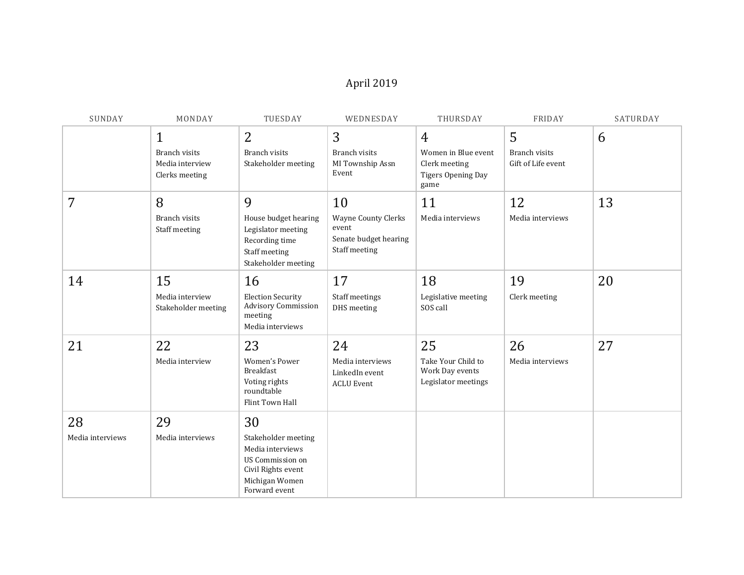# April 2019

| SUNDAY                 | MONDAY                                                            | TUESDAY                                                                                                                    | WEDNESDAY                                                                           | THURSDAY                                                                             | FRIDAY                                          | SATURDAY |
|------------------------|-------------------------------------------------------------------|----------------------------------------------------------------------------------------------------------------------------|-------------------------------------------------------------------------------------|--------------------------------------------------------------------------------------|-------------------------------------------------|----------|
|                        | $\mathbf 1$<br>Branch visits<br>Media interview<br>Clerks meeting | 2<br>Branch visits<br>Stakeholder meeting                                                                                  | 3<br>Branch visits<br>MI Township Assn<br>Event                                     | $\overline{4}$<br>Women in Blue event<br>Clerk meeting<br>Tigers Opening Day<br>game | 5<br><b>Branch visits</b><br>Gift of Life event | 6        |
| 7                      | 8<br>Branch visits<br>Staff meeting                               | 9<br>House budget hearing<br>Legislator meeting<br>Recording time<br>Staff meeting<br>Stakeholder meeting                  | 10<br><b>Wayne County Clerks</b><br>event<br>Senate budget hearing<br>Staff meeting | 11<br>Media interviews                                                               | 12<br>Media interviews                          | 13       |
| 14                     | 15<br>Media interview<br>Stakeholder meeting                      | 16<br><b>Election Security</b><br>Advisory Commission<br>meeting<br>Media interviews                                       | 17<br>Staff meetings<br>DHS meeting                                                 | 18<br>Legislative meeting<br>SOS call                                                | 19<br>Clerk meeting                             | 20       |
| 21                     | 22<br>Media interview                                             | 23<br><b>Women's Power</b><br>Breakfast<br>Voting rights<br>roundtable<br>Flint Town Hall                                  | 24<br>Media interviews<br>LinkedIn event<br><b>ACLU Event</b>                       | 25<br>Take Your Child to<br>Work Day events<br>Legislator meetings                   | 26<br>Media interviews                          | 27       |
| 28<br>Media interviews | 29<br>Media interviews                                            | 30<br>Stakeholder meeting<br>Media interviews<br>US Commission on<br>Civil Rights event<br>Michigan Women<br>Forward event |                                                                                     |                                                                                      |                                                 |          |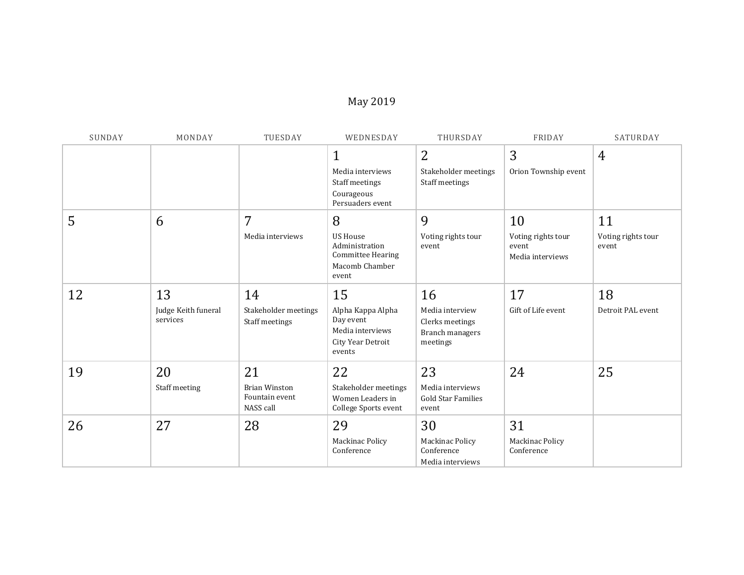# May 2019

| SUNDAY | MONDAY                                | TUESDAY                                            | WEDNESDAY                                                                                     | THURSDAY                                                                | FRIDAY                                                | SATURDAY                          |
|--------|---------------------------------------|----------------------------------------------------|-----------------------------------------------------------------------------------------------|-------------------------------------------------------------------------|-------------------------------------------------------|-----------------------------------|
|        |                                       |                                                    | $\mathbf{1}$<br>Media interviews<br>Staff meetings<br>Courageous<br>Persuaders event          | $\overline{2}$<br>Stakeholder meetings<br>Staff meetings                | 3<br>Orion Township event                             | $\overline{4}$                    |
| 5      | 6                                     | 7<br>Media interviews                              | 8<br><b>US House</b><br>Administration<br><b>Committee Hearing</b><br>Macomb Chamber<br>event | 9<br>Voting rights tour<br>event                                        | 10<br>Voting rights tour<br>event<br>Media interviews | 11<br>Voting rights tour<br>event |
| 12     | 13<br>Judge Keith funeral<br>services | 14<br>Stakeholder meetings<br>Staff meetings       | 15<br>Alpha Kappa Alpha<br>Day event<br>Media interviews<br>City Year Detroit<br>events       | 16<br>Media interview<br>Clerks meetings<br>Branch managers<br>meetings | 17<br>Gift of Life event                              | 18<br>Detroit PAL event           |
| 19     | 20<br>Staff meeting                   | 21<br>Brian Winston<br>Fountain event<br>NASS call | 22<br>Stakeholder meetings<br>Women Leaders in<br>College Sports event                        | 23<br>Media interviews<br><b>Gold Star Families</b><br>event            | 24                                                    | 25                                |
| 26     | 27                                    | 28                                                 | 29<br>Mackinac Policy<br>Conference                                                           | 30<br><b>Mackinac Policy</b><br>Conference<br>Media interviews          | 31<br>Mackinac Policy<br>Conference                   |                                   |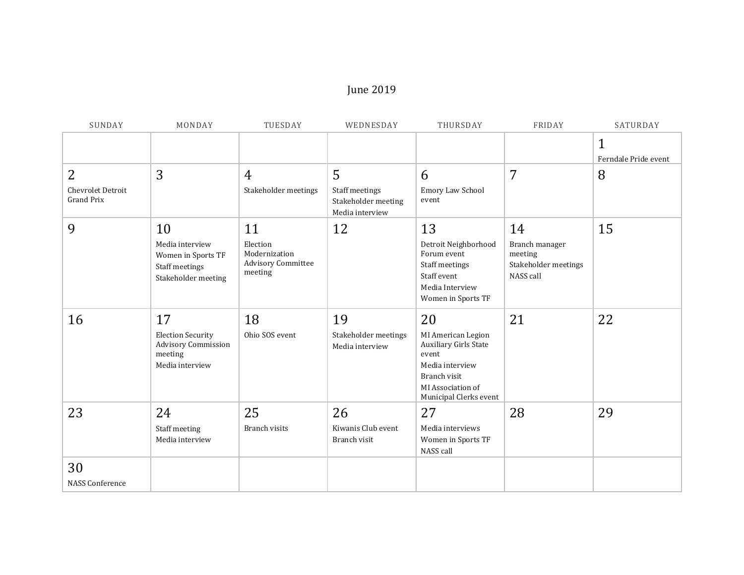## June 2019

| SUNDAY                                 | MONDAY                                                                         | TUESDAY                                                           | WEDNESDAY                                                | THURSDAY                                                                                                                               | FRIDAY                                                         | SATURDAY             |
|----------------------------------------|--------------------------------------------------------------------------------|-------------------------------------------------------------------|----------------------------------------------------------|----------------------------------------------------------------------------------------------------------------------------------------|----------------------------------------------------------------|----------------------|
|                                        |                                                                                |                                                                   |                                                          |                                                                                                                                        |                                                                | $\mathbf{1}$         |
|                                        |                                                                                |                                                                   |                                                          |                                                                                                                                        |                                                                | Ferndale Pride event |
| $\overline{2}$                         | 3                                                                              | $\overline{4}$                                                    | 5                                                        | 6                                                                                                                                      | 7                                                              | 8                    |
| Chevrolet Detroit<br><b>Grand Prix</b> |                                                                                | Stakeholder meetings                                              | Staff meetings<br>Stakeholder meeting<br>Media interview | Emory Law School<br>event                                                                                                              |                                                                |                      |
| 9                                      | 10                                                                             | 11                                                                | 12                                                       | 13                                                                                                                                     | 14                                                             | 15                   |
|                                        | Media interview<br>Women in Sports TF<br>Staff meetings<br>Stakeholder meeting | Election<br>Modernization<br><b>Advisory Committee</b><br>meeting |                                                          | Detroit Neighborhood<br>Forum event<br>Staff meetings<br>Staff event<br>Media Interview<br>Women in Sports TF                          | Branch manager<br>meeting<br>Stakeholder meetings<br>NASS call |                      |
| 16                                     | 17                                                                             | 18                                                                | 19                                                       | 20                                                                                                                                     | 21                                                             | 22                   |
|                                        | <b>Election Security</b><br>Advisory Commission<br>meeting<br>Media interview  | Ohio SOS event                                                    | Stakeholder meetings<br>Media interview                  | MI American Legion<br>Auxiliary Girls State<br>event<br>Media interview<br>Branch visit<br>MI Association of<br>Municipal Clerks event |                                                                |                      |
| 23                                     | 24                                                                             | 25                                                                | 26                                                       | 27                                                                                                                                     | 28                                                             | 29                   |
|                                        | Staff meeting<br>Media interview                                               | Branch visits                                                     | Kiwanis Club event<br>Branch visit                       | Media interviews<br>Women in Sports TF<br>NASS call                                                                                    |                                                                |                      |
| 30                                     |                                                                                |                                                                   |                                                          |                                                                                                                                        |                                                                |                      |
| NASS Conference                        |                                                                                |                                                                   |                                                          |                                                                                                                                        |                                                                |                      |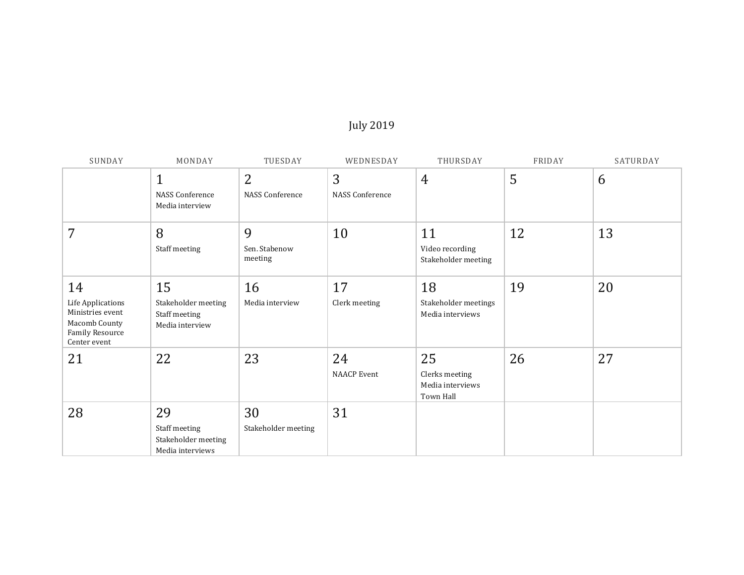## July 2019

| SUNDAY                                                                                          | MONDAY                                                         | TUESDAY                       | WEDNESDAY                   | THURSDAY                                              | FRIDAY | SATURDAY |
|-------------------------------------------------------------------------------------------------|----------------------------------------------------------------|-------------------------------|-----------------------------|-------------------------------------------------------|--------|----------|
|                                                                                                 | $\mathbf{1}$<br><b>NASS Conference</b><br>Media interview      | 2<br><b>NASS Conference</b>   | 3<br><b>NASS Conference</b> | $\overline{4}$                                        | 5      | 6        |
| 7                                                                                               | 8<br>Staff meeting                                             | 9<br>Sen. Stabenow<br>meeting | 10                          | 11<br>Video recording<br>Stakeholder meeting          | 12     | 13       |
| 14<br>Life Applications<br>Ministries event<br>Macomb County<br>Family Resource<br>Center event | 15<br>Stakeholder meeting<br>Staff meeting<br>Media interview  | 16<br>Media interview         | 17<br>Clerk meeting         | 18<br>Stakeholder meetings<br>Media interviews        | 19     | 20       |
| 21                                                                                              | 22                                                             | 23                            | 24<br><b>NAACP</b> Event    | 25<br>Clerks meeting<br>Media interviews<br>Town Hall | 26     | 27       |
| 28                                                                                              | 29<br>Staff meeting<br>Stakeholder meeting<br>Media interviews | 30<br>Stakeholder meeting     | 31                          |                                                       |        |          |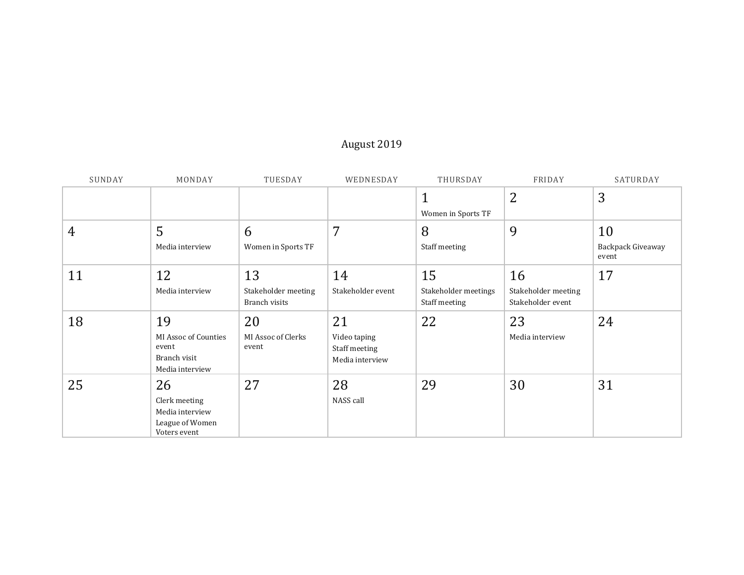# August 2019

| SUNDAY | MONDAY                                                                    | TUESDAY                                    | WEDNESDAY                                              | THURSDAY                                    | FRIDAY                                         | SATURDAY                         |
|--------|---------------------------------------------------------------------------|--------------------------------------------|--------------------------------------------------------|---------------------------------------------|------------------------------------------------|----------------------------------|
|        |                                                                           |                                            |                                                        | 1<br>Women in Sports TF                     | $\overline{2}$                                 | 3                                |
| 4      | 5<br>Media interview                                                      | 6<br>Women in Sports TF                    | 7                                                      | 8<br>Staff meeting                          | 9                                              | 10<br>Backpack Giveaway<br>event |
| 11     | 12<br>Media interview                                                     | 13<br>Stakeholder meeting<br>Branch visits | 14<br>Stakeholder event                                | 15<br>Stakeholder meetings<br>Staff meeting | 16<br>Stakeholder meeting<br>Stakeholder event | 17                               |
| 18     | 19<br>MI Assoc of Counties<br>event<br>Branch visit<br>Media interview    | 20<br>MI Assoc of Clerks<br>event          | 21<br>Video taping<br>Staff meeting<br>Media interview | 22                                          | 23<br>Media interview                          | 24                               |
| 25     | 26<br>Clerk meeting<br>Media interview<br>League of Women<br>Voters event | 27                                         | 28<br>NASS call                                        | 29                                          | 30                                             | 31                               |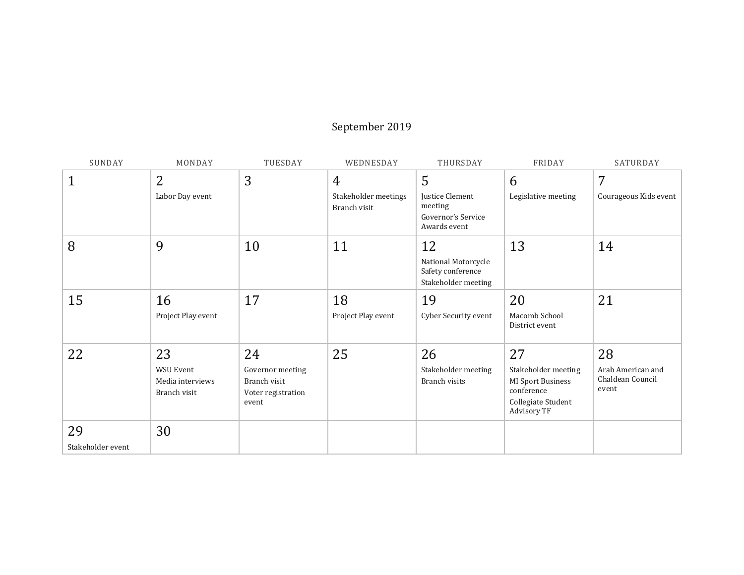## September 2019

| SUNDAY            | MONDAY                                               | TUESDAY                                                         | WEDNESDAY                            | THURSDAY                                                                | FRIDAY                                                                                      | SATURDAY                                       |
|-------------------|------------------------------------------------------|-----------------------------------------------------------------|--------------------------------------|-------------------------------------------------------------------------|---------------------------------------------------------------------------------------------|------------------------------------------------|
| $\mathbf{1}$      | $\overline{2}$                                       | 3                                                               | $\overline{4}$                       | 5                                                                       | 6                                                                                           | 7                                              |
|                   | Labor Day event                                      |                                                                 | Stakeholder meetings<br>Branch visit | <b>Justice Clement</b><br>meeting<br>Governor's Service<br>Awards event | Legislative meeting                                                                         | Courageous Kids event                          |
| 8                 | 9                                                    | 10                                                              | 11                                   | 12<br>National Motorcycle<br>Safety conference<br>Stakeholder meeting   | 13                                                                                          | 14                                             |
| 15                | 16                                                   | 17                                                              | 18                                   | 19                                                                      | 20                                                                                          | 21                                             |
|                   | Project Play event                                   |                                                                 | Project Play event                   | Cyber Security event                                                    | Macomb School<br>District event                                                             |                                                |
| 22                | 23                                                   | 24                                                              | 25                                   | 26                                                                      | 27                                                                                          | 28                                             |
|                   | <b>WSU Event</b><br>Media interviews<br>Branch visit | Governor meeting<br>Branch visit<br>Voter registration<br>event |                                      | Stakeholder meeting<br>Branch visits                                    | Stakeholder meeting<br>MI Sport Business<br>conference<br>Collegiate Student<br>Advisory TF | Arab American and<br>Chaldean Council<br>event |
| 29                | 30                                                   |                                                                 |                                      |                                                                         |                                                                                             |                                                |
| Stakeholder event |                                                      |                                                                 |                                      |                                                                         |                                                                                             |                                                |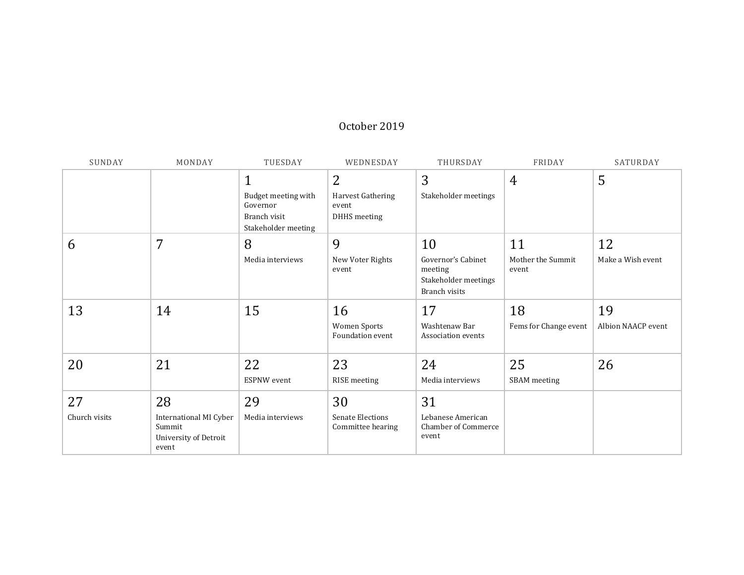#### October 2019

| SUNDAY        | MONDAY                                                             | TUESDAY                                                                | WEDNESDAY                                    | THURSDAY                                                               | FRIDAY                     | SATURDAY           |
|---------------|--------------------------------------------------------------------|------------------------------------------------------------------------|----------------------------------------------|------------------------------------------------------------------------|----------------------------|--------------------|
|               |                                                                    | $\mathbf{1}$                                                           | $\overline{2}$                               | 3                                                                      | $\overline{4}$             | 5                  |
|               |                                                                    | Budget meeting with<br>Governor<br>Branch visit<br>Stakeholder meeting | Harvest Gathering<br>event<br>DHHS meeting   | Stakeholder meetings                                                   |                            |                    |
| 6             | 7                                                                  | 8                                                                      | 9                                            | 10                                                                     | 11                         | 12                 |
|               |                                                                    | Media interviews                                                       | New Voter Rights<br>event                    | Governor's Cabinet<br>meeting<br>Stakeholder meetings<br>Branch visits | Mother the Summit<br>event | Make a Wish event  |
| 13            | 14                                                                 | 15                                                                     | 16                                           | 17                                                                     | 18                         | 19                 |
|               |                                                                    |                                                                        | Women Sports<br>Foundation event             | Washtenaw Bar<br>Association events                                    | Fems for Change event      | Albion NAACP event |
| 20            | 21                                                                 | 22                                                                     | 23                                           | 24                                                                     | 25                         | 26                 |
|               |                                                                    | <b>ESPNW</b> event                                                     | RISE meeting                                 | Media interviews                                                       | SBAM meeting               |                    |
| 27            | 28                                                                 | 29                                                                     | 30                                           | 31                                                                     |                            |                    |
| Church visits | International MI Cyber<br>Summit<br>University of Detroit<br>event | Media interviews                                                       | <b>Senate Elections</b><br>Committee hearing | Lebanese American<br><b>Chamber of Commerce</b><br>event               |                            |                    |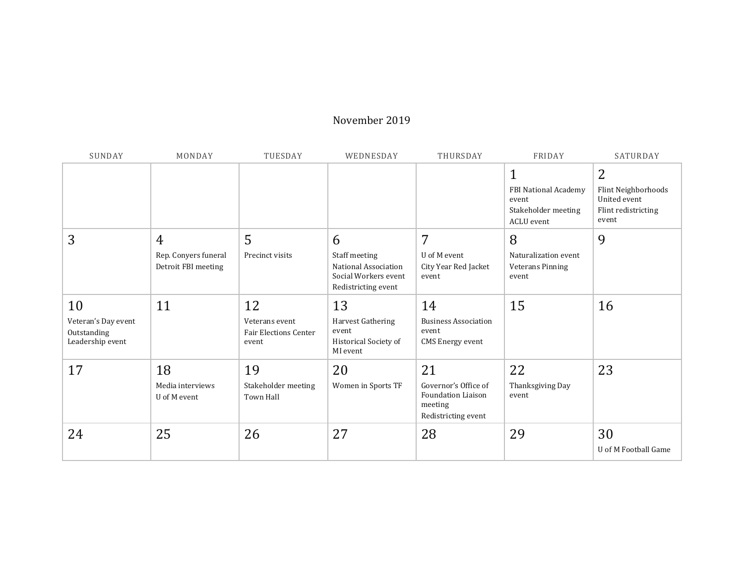#### November 2019

| SUNDAY                                                       | MONDAY                                                        | TUESDAY                                                       | WEDNESDAY                                                                                 | THURSDAY                                                                                  | FRIDAY                                                                                    | SATURDAY                                                                 |
|--------------------------------------------------------------|---------------------------------------------------------------|---------------------------------------------------------------|-------------------------------------------------------------------------------------------|-------------------------------------------------------------------------------------------|-------------------------------------------------------------------------------------------|--------------------------------------------------------------------------|
|                                                              |                                                               |                                                               |                                                                                           |                                                                                           | $\mathbf{1}$<br><b>FBI National Academy</b><br>event<br>Stakeholder meeting<br>ACLU event | 2<br>Flint Neighborhoods<br>United event<br>Flint redistricting<br>event |
| 3                                                            | $\overline{4}$<br>Rep. Conyers funeral<br>Detroit FBI meeting | 5<br>Precinct visits                                          | 6<br>Staff meeting<br>National Association<br>Social Workers event<br>Redistricting event | 7<br>U of M event<br>City Year Red Jacket<br>event                                        | 8<br>Naturalization event<br>Veterans Pinning<br>event                                    | 9                                                                        |
| 10<br>Veteran's Day event<br>Outstanding<br>Leadership event | 11                                                            | 12<br>Veterans event<br><b>Fair Elections Center</b><br>event | 13<br>Harvest Gathering<br>event<br><b>Historical Society of</b><br>MI event              | 14<br><b>Business Association</b><br>event<br><b>CMS</b> Energy event                     | 15                                                                                        | 16                                                                       |
| 17                                                           | 18<br>Media interviews<br>U of M event                        | 19<br>Stakeholder meeting<br>Town Hall                        | 20<br>Women in Sports TF                                                                  | 21<br>Governor's Office of<br><b>Foundation Liaison</b><br>meeting<br>Redistricting event | 22<br>Thanksgiving Day<br>event                                                           | 23                                                                       |
| 24                                                           | 25                                                            | 26                                                            | 27                                                                                        | 28                                                                                        | 29                                                                                        | 30<br>U of M Football Game                                               |